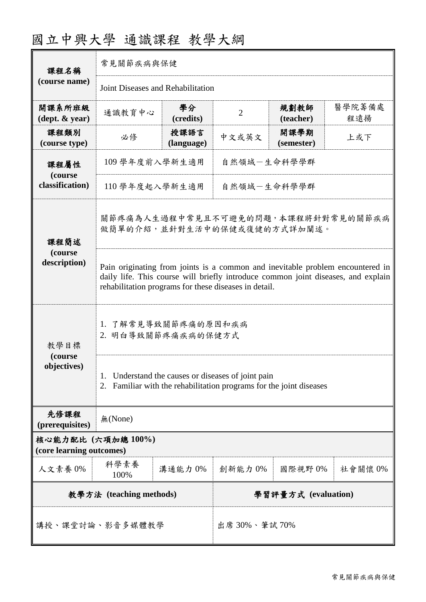| 課程名稱                                          | 常見關節疾病與保健                                                                                                                                                                                                                    |                     |                |                    |               |  |
|-----------------------------------------------|------------------------------------------------------------------------------------------------------------------------------------------------------------------------------------------------------------------------------|---------------------|----------------|--------------------|---------------|--|
| (course name)                                 | Joint Diseases and Rehabilitation                                                                                                                                                                                            |                     |                |                    |               |  |
| 開課系所班級<br>$(\text{dept.} \& \text{ year})$    | 通識教育中心                                                                                                                                                                                                                       | 學分<br>(credits)     | $\overline{2}$ | 規劃教師<br>(teacher)  | 醫學院籌備處<br>程遠揚 |  |
| 課程類別<br>(course type)                         | 必修                                                                                                                                                                                                                           | 授課語言<br>(language)  | 中文或英文          | 開課學期<br>(semester) | 上或下           |  |
| 課程屬性<br>(course<br>classification)            | 109 學年度前入學新生適用<br>自然領域一生命科學學群                                                                                                                                                                                                |                     |                |                    |               |  |
|                                               | 110 學年度起入學新生適用<br>自然領域一生命科學學群                                                                                                                                                                                                |                     |                |                    |               |  |
| 課程簡述                                          | 關節疼痛為人生過程中常見且不可避免的問題,本課程將針對常見的關節疾病<br>做簡單的介紹,並針對生活中的保健或復健的方式詳加闡述。                                                                                                                                                            |                     |                |                    |               |  |
| (course<br>description)                       | Pain originating from joints is a common and inevitable problem encountered in<br>daily life. This course will briefly introduce common joint diseases, and explain<br>rehabilitation programs for these diseases in detail. |                     |                |                    |               |  |
| 教學目標<br>(course<br>objectives)                | 1. 了解常見導致關節疼痛的原因和疾病<br>2. 明白導致關節疼痛疾病的保健方式                                                                                                                                                                                    |                     |                |                    |               |  |
|                                               | Understand the causes or diseases of joint pain<br>Familiar with the rehabilitation programs for the joint diseases                                                                                                          |                     |                |                    |               |  |
| 先修課程<br>(prerequisites)                       | 無(None)                                                                                                                                                                                                                      |                     |                |                    |               |  |
| 核心能力配比 (六項加總100%)<br>(core learning outcomes) |                                                                                                                                                                                                                              |                     |                |                    |               |  |
| 人文素養 0%                                       | 科學素養<br>100%                                                                                                                                                                                                                 | 溝通能力 0%             | 創新能力 0%        | 國際視野0%             | 社會關懷 0%       |  |
| 教學方法 (teaching methods)                       |                                                                                                                                                                                                                              | 學習評量方式 (evaluation) |                |                    |               |  |
| 講授、課堂討論、影音多媒體教學                               |                                                                                                                                                                                                                              | 出席 30%、筆試 70%       |                |                    |               |  |

# 國立中興大學 通識課程 教學大綱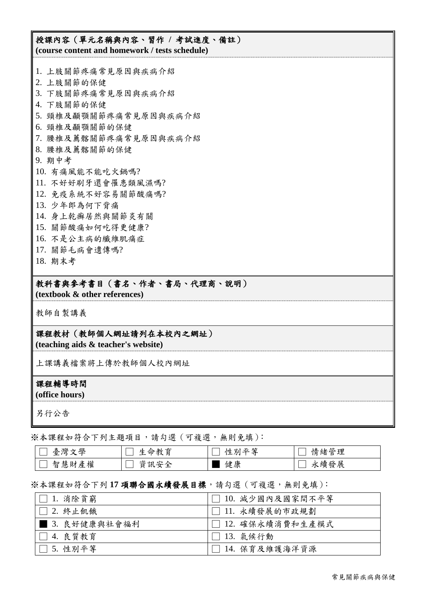## 授課內容(單元名稱與內容、習作 **/** 考試進度、備註) **(course content and homework / tests schedule)**

1. 上肢關節疼痛常見原因與疾病介紹 2. 上肢關節的保健 3. 下肢關節疼痛常見原因與疾病介紹 4. 下肢關節的保健 5. 頸椎及顳顎關節疼痛常見原因與疾病介紹 6. 頸椎及顳顎關節的保健 7. 腰椎及薦髂關節疼痛常見原因與疾病介紹 8. 腰椎及薦髂關節的保健 9. 期中考 10. 有痛風能不能吃火鍋嗎? 11. 不好好刷牙還會罹患類風濕嗎? 12. 免疫系統不好容易關節酸痛嗎? 13. 少年郎為何下背痛 14. 身上乾癬居然與關節炎有關 15. 關節酸痛如何吃得更健康? 16. 不是公主病的纖維肌痛症 17. 關節毛病會遺傳嗎? 18. 期末考

## 教科書與參考書目(書名、作者、書局、代理商、說明)

**(textbook & other references)**

教師自製講義

## 課程教材(教師個人網址請列在本校內之網址)

**(teaching aids & teacher's website)**

上課講義檔案將上傳於教師個人校內網址

#### 課程輔導時間

**(office hours)**

另行公告

※本課程如符合下列主題項目,請勾選(可複選,無則免填):

| 學<br>、戀<br>臺<br>ᅮ           | 命ノ<br>⇔<br>イヘル        | 丛<br>$\sqrt{ }$<br>心生<br>YЛ | 奈<br>∓甲<br>情緒<br>七土<br>ь |
|-----------------------------|-----------------------|-----------------------------|--------------------------|
| 權<br>∼<br>智<br>慧<br>産<br>94 | دمير<br>貣<br>「訊」<br>↗ | 健康                          | 展<br>永續<br>發             |

#### ※本課程如符合下列 **17** 項聯合國永續發展目標,請勾選(可複選,無則免填):

| $ \Box$ 1. 消除貧窮      | □ 10. 減少國內及國家間不平等  |
|----------------------|--------------------|
| $\Box$ 2. 終止飢餓       | │□ 11. 永續發展的市政規劃   |
| ■ 3. 良好健康與社會福利       | │□ 12. 確保永續消費和生產模式 |
| □ 4. 良質教育            | □ 13. 氣候行動         |
| $ \bigsqcup$ 5. 性别平等 | □ 14. 保育及維護海洋資源    |